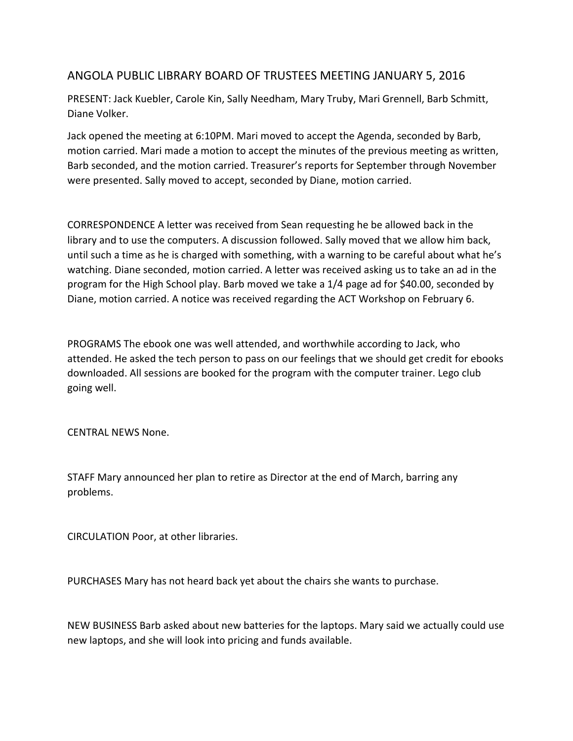## ANGOLA PUBLIC LIBRARY BOARD OF TRUSTEES MEETING JANUARY 5, 2016

PRESENT: Jack Kuebler, Carole Kin, Sally Needham, Mary Truby, Mari Grennell, Barb Schmitt, Diane Volker.

Jack opened the meeting at 6:10PM. Mari moved to accept the Agenda, seconded by Barb, motion carried. Mari made a motion to accept the minutes of the previous meeting as written, Barb seconded, and the motion carried. Treasurer's reports for September through November were presented. Sally moved to accept, seconded by Diane, motion carried.

CORRESPONDENCE A letter was received from Sean requesting he be allowed back in the library and to use the computers. A discussion followed. Sally moved that we allow him back, until such a time as he is charged with something, with a warning to be careful about what he's watching. Diane seconded, motion carried. A letter was received asking us to take an ad in the program for the High School play. Barb moved we take a 1/4 page ad for \$40.00, seconded by Diane, motion carried. A notice was received regarding the ACT Workshop on February 6.

PROGRAMS The ebook one was well attended, and worthwhile according to Jack, who attended. He asked the tech person to pass on our feelings that we should get credit for ebooks downloaded. All sessions are booked for the program with the computer trainer. Lego club going well.

CENTRAL NEWS None.

STAFF Mary announced her plan to retire as Director at the end of March, barring any problems.

CIRCULATION Poor, at other libraries.

PURCHASES Mary has not heard back yet about the chairs she wants to purchase.

NEW BUSINESS Barb asked about new batteries for the laptops. Mary said we actually could use new laptops, and she will look into pricing and funds available.